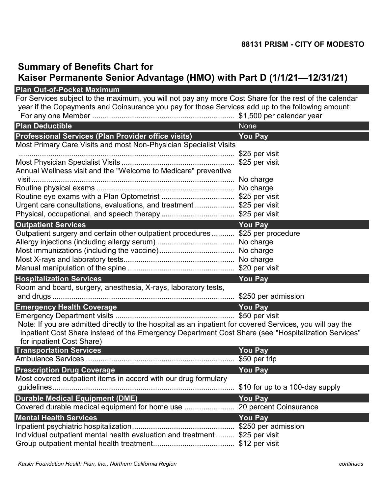## Summary of Benefits Chart for

## Kaiser Permanente Senior Advantage (HMO) with Part D (1/1/21-12/31/21)

|                                                                                                                                                                                                                                               | 88131 PRISM - CITY OF MODESTO   |  |
|-----------------------------------------------------------------------------------------------------------------------------------------------------------------------------------------------------------------------------------------------|---------------------------------|--|
| <b>Summary of Benefits Chart for</b><br>Kaiser Permanente Senior Advantage (HMO) with Part D (1/1/21-12/31/21)                                                                                                                                |                                 |  |
| <b>Plan Out-of-Pocket Maximum</b>                                                                                                                                                                                                             |                                 |  |
| For Services subject to the maximum, you will not pay any more Cost Share for the rest of the calendar<br>year if the Copayments and Coinsurance you pay for those Services add up to the following amount:                                   |                                 |  |
| <b>Plan Deductible</b>                                                                                                                                                                                                                        | <b>None</b>                     |  |
| Professional Services (Plan Provider office visits)                                                                                                                                                                                           | <b>You Pay</b>                  |  |
| Most Primary Care Visits and most Non-Physician Specialist Visits                                                                                                                                                                             |                                 |  |
|                                                                                                                                                                                                                                               | \$25 per visit                  |  |
|                                                                                                                                                                                                                                               | \$25 per visit                  |  |
| Annual Wellness visit and the "Welcome to Medicare" preventive                                                                                                                                                                                |                                 |  |
|                                                                                                                                                                                                                                               | No charge                       |  |
|                                                                                                                                                                                                                                               |                                 |  |
|                                                                                                                                                                                                                                               |                                 |  |
| Urgent care consultations, evaluations, and treatment \$25 per visit                                                                                                                                                                          |                                 |  |
|                                                                                                                                                                                                                                               |                                 |  |
| <b>Outpatient Services</b><br>Outpatient surgery and certain other outpatient procedures \$25 per procedure                                                                                                                                   | <b>You Pay</b>                  |  |
|                                                                                                                                                                                                                                               | No charge                       |  |
|                                                                                                                                                                                                                                               |                                 |  |
|                                                                                                                                                                                                                                               |                                 |  |
|                                                                                                                                                                                                                                               |                                 |  |
| <b>Hospitalization Services</b>                                                                                                                                                                                                               | <b>You Pay</b>                  |  |
| Room and board, surgery, anesthesia, X-rays, laboratory tests,                                                                                                                                                                                |                                 |  |
|                                                                                                                                                                                                                                               |                                 |  |
| <b>Emergency Health Coverage</b>                                                                                                                                                                                                              | <b>You Pay</b>                  |  |
|                                                                                                                                                                                                                                               | \$50 per visit                  |  |
| Note: If you are admitted directly to the hospital as an inpatient for covered Services, you will pay the<br>inpatient Cost Share instead of the Emergency Department Cost Share (see "Hospitalization Services"<br>for inpatient Cost Share) |                                 |  |
| <b>Transportation Services</b>                                                                                                                                                                                                                | <b>You Pay</b>                  |  |
|                                                                                                                                                                                                                                               | \$50 per trip                   |  |
| <b>Prescription Drug Coverage</b>                                                                                                                                                                                                             | <b>You Pay</b>                  |  |
| Most covered outpatient items in accord with our drug formulary                                                                                                                                                                               |                                 |  |
|                                                                                                                                                                                                                                               | \$10 for up to a 100-day supply |  |
| <b>Durable Medical Equipment (DME)</b>                                                                                                                                                                                                        | <b>You Pay</b>                  |  |
|                                                                                                                                                                                                                                               |                                 |  |
| <b>Mental Health Services</b>                                                                                                                                                                                                                 | <b>You Pay</b>                  |  |
|                                                                                                                                                                                                                                               |                                 |  |
| Individual outpatient mental health evaluation and treatment  \$25 per visit                                                                                                                                                                  |                                 |  |
|                                                                                                                                                                                                                                               |                                 |  |